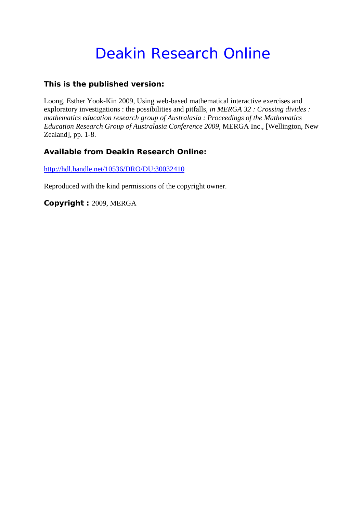# Deakin Research Online

## **This is the published version:**

Loong, Esther Yook-Kin 2009, Using web-based mathematical interactive exercises and exploratory investigations : the possibilities and pitfalls*, in MERGA 32 : Crossing divides : mathematics education research group of Australasia : Proceedings of the Mathematics Education Research Group of Australasia Conference 2009*, MERGA Inc., [Wellington, New Zealand], pp. 1-8.

### **Available from Deakin Research Online:**

http://hdl.handle.net/10536/DRO/DU:30032410

Reproduced with the kind permissions of the copyright owner.

**Copyright :** 2009, MERGA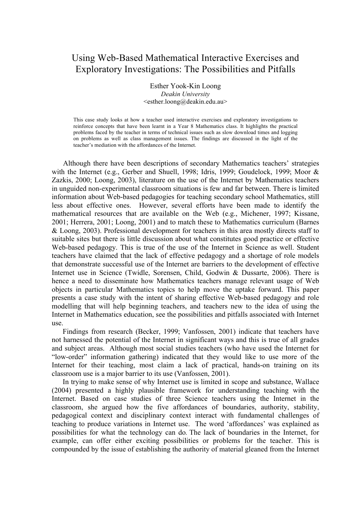# Using Web-Based Mathematical Interactive Exercises and Exploratory Investigations: The Possibilities and Pitfalls

Esther Yook-Kin Loong *Deakin University* <esther.loong@deakin.edu.au>

This case study looks at how a teacher used interactive exercises and exploratory investigations to reinforce concepts that have been learnt in a Year 8 Mathematics class. It highlights the practical problems faced by the teacher in terms of technical issues such as slow download times and logging on problems as well as class management issues. The findings are discussed in the light of the teacher's mediation with the affordances of the Internet.

Although there have been descriptions of secondary Mathematics teachers' strategies with the Internet (e.g., Gerber and Shuell, 1998; Idris, 1999; Goudelock, 1999; Moor & Zazkis, 2000; Loong, 2003), literature on the use of the Internet by Mathematics teachers in unguided non-experimental classroom situations is few and far between. There is limited information about Web-based pedagogies for teaching secondary school Mathematics, still less about effective ones. However, several efforts have been made to identify the mathematical resources that are available on the Web (e.g., Michener, 1997; Kissane, 2001; Herrera, 2001; Loong, 2001) and to match these to Mathematics curriculum (Barnes & Loong, 2003). Professional development for teachers in this area mostly directs staff to suitable sites but there is little discussion about what constitutes good practice or effective Web-based pedagogy. This is true of the use of the Internet in Science as well. Student teachers have claimed that the lack of effective pedagogy and a shortage of role models that demonstrate successful use of the Internet are barriers to the development of effective Internet use in Science (Twidle, Sorensen, Child, Godwin & Dussarte, 2006). There is hence a need to disseminate how Mathematics teachers manage relevant usage of Web objects in particular Mathematics topics to help move the uptake forward. This paper presents a case study with the intent of sharing effective Web-based pedagogy and role modelling that will help beginning teachers, and teachers new to the idea of using the Internet in Mathematics education, see the possibilities and pitfalls associated with Internet use.

Findings from research (Becker, 1999; Vanfossen, 2001) indicate that teachers have not harnessed the potential of the Internet in significant ways and this is true of all grades and subject areas. Although most social studies teachers (who have used the Internet for "low-order" information gathering) indicated that they would like to use more of the Internet for their teaching, most claim a lack of practical, hands-on training on its classroom use is a major barrier to its use (Vanfossen, 2001).

In trying to make sense of why Internet use is limited in scope and substance, Wallace (2004) presented a highly plausible framework for understanding teaching with the Internet. Based on case studies of three Science teachers using the Internet in the classroom, she argued how the five affordances of boundaries, authority, stability, pedagogical context and disciplinary context interact with fundamental challenges of teaching to produce variations in Internet use. The word 'affordances' was explained as possibilities for what the technology can do. The lack of boundaries in the Internet, for example, can offer either exciting possibilities or problems for the teacher. This is compounded by the issue of establishing the authority of material gleaned from the Internet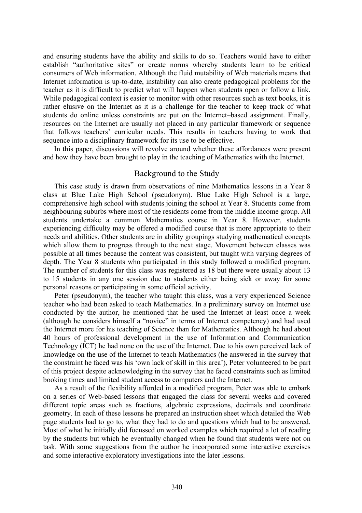and ensuring students have the ability and skills to do so. Teachers would have to either establish "authoritative sites" or create norms whereby students learn to be critical consumers of Web information. Although the fluid mutability of Web materials means that Internet information is up-to-date, instability can also create pedagogical problems for the teacher as it is difficult to predict what will happen when students open or follow a link. While pedagogical context is easier to monitor with other resources such as text books, it is rather elusive on the Internet as it is a challenge for the teacher to keep track of what students do online unless constraints are put on the Internet–based assignment. Finally, resources on the Internet are usually not placed in any particular framework or sequence that follows teachers' curricular needs. This results in teachers having to work that sequence into a disciplinary framework for its use to be effective.

In this paper, discussions will revolve around whether these affordances were present and how they have been brought to play in the teaching of Mathematics with the Internet.

#### Background to the Study

This case study is drawn from observations of nine Mathematics lessons in a Year 8 class at Blue Lake High School (pseudonym). Blue Lake High School is a large, comprehensive high school with students joining the school at Year 8. Students come from neighbouring suburbs where most of the residents come from the middle income group. All students undertake a common Mathematics course in Year 8. However, students experiencing difficulty may be offered a modified course that is more appropriate to their needs and abilities. Other students are in ability groupings studying mathematical concepts which allow them to progress through to the next stage. Movement between classes was possible at all times because the content was consistent, but taught with varying degrees of depth. The Year 8 students who participated in this study followed a modified program. The number of students for this class was registered as 18 but there were usually about 13 to 15 students in any one session due to students either being sick or away for some personal reasons or participating in some official activity.

Peter (pseudonym), the teacher who taught this class, was a very experienced Science teacher who had been asked to teach Mathematics. In a preliminary survey on Internet use conducted by the author, he mentioned that he used the Internet at least once a week (although he considers himself a "novice" in terms of Internet competency) and had used the Internet more for his teaching of Science than for Mathematics. Although he had about 40 hours of professional development in the use of Information and Communication Technology (ICT) he had none on the use of the Internet. Due to his own perceived lack of knowledge on the use of the Internet to teach Mathematics (he answered in the survey that the constraint he faced was his 'own lack of skill in this area'), Peter volunteered to be part of this project despite acknowledging in the survey that he faced constraints such as limited booking times and limited student access to computers and the Internet.

As a result of the flexibility afforded in a modified program, Peter was able to embark on a series of Web-based lessons that engaged the class for several weeks and covered different topic areas such as fractions, algebraic expressions, decimals and coordinate geometry. In each of these lessons he prepared an instruction sheet which detailed the Web page students had to go to, what they had to do and questions which had to be answered. Most of what he initially did focussed on worked examples which required a lot of reading by the students but which he eventually changed when he found that students were not on task. With some suggestions from the author he incorporated some interactive exercises and some interactive exploratory investigations into the later lessons.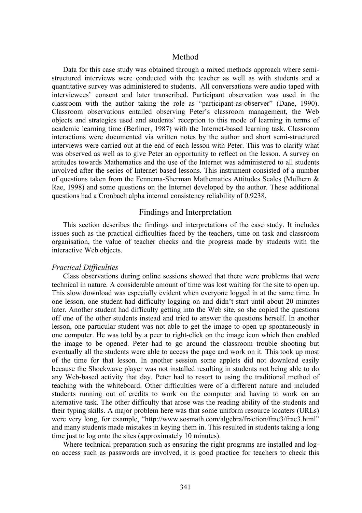#### Method

Data for this case study was obtained through a mixed methods approach where semistructured interviews were conducted with the teacher as well as with students and a quantitative survey was administered to students. All conversations were audio taped with interviewees' consent and later transcribed. Participant observation was used in the classroom with the author taking the role as "participant-as-observer" (Dane, 1990). Classroom observations entailed observing Peter's classroom management, the Web objects and strategies used and students' reception to this mode of learning in terms of academic learning time (Berliner, 1987) with the Internet-based learning task. Classroom interactions were documented via written notes by the author and short semi-structured interviews were carried out at the end of each lesson with Peter. This was to clarify what was observed as well as to give Peter an opportunity to reflect on the lesson. A survey on attitudes towards Mathematics and the use of the Internet was administered to all students involved after the series of Internet based lessons. This instrument consisted of a number of questions taken from the Fennema-Sherman Mathematics Attitudes Scales (Mulhern & Rae, 1998) and some questions on the Internet developed by the author. These additional questions had a Cronbach alpha internal consistency reliability of 0.9238.

#### Findings and Interpretation

This section describes the findings and interpretations of the case study. It includes issues such as the practical difficulties faced by the teachers, time on task and classroom organisation, the value of teacher checks and the progress made by students with the interactive Web objects.

#### *Practical Difficulties*

Class observations during online sessions showed that there were problems that were technical in nature. A considerable amount of time was lost waiting for the site to open up. This slow download was especially evident when everyone logged in at the same time. In one lesson, one student had difficulty logging on and didn't start until about 20 minutes later. Another student had difficulty getting into the Web site, so she copied the questions off one of the other students instead and tried to answer the questions herself. In another lesson, one particular student was not able to get the image to open up spontaneously in one computer. He was told by a peer to right-click on the image icon which then enabled the image to be opened. Peter had to go around the classroom trouble shooting but eventually all the students were able to access the page and work on it. This took up most of the time for that lesson. In another session some applets did not download easily because the Shockwave player was not installed resulting in students not being able to do any Web-based activity that day. Peter had to resort to using the traditional method of teaching with the whiteboard. Other difficulties were of a different nature and included students running out of credits to work on the computer and having to work on an alternative task. The other difficulty that arose was the reading ability of the students and their typing skills. A major problem here was that some uniform resource locaters (URLs) were very long, for example, "http://www.sosmath.com/algebra/fraction/frac3/frac3.html" and many students made mistakes in keying them in. This resulted in students taking a long time just to log onto the sites (approximately 10 minutes).

Where technical preparation such as ensuring the right programs are installed and logon access such as passwords are involved, it is good practice for teachers to check this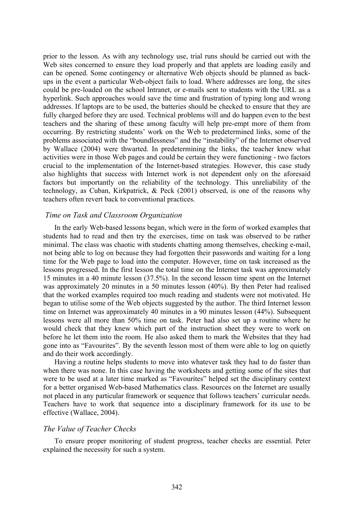prior to the lesson. As with any technology use, trial runs should be carried out with the Web sites concerned to ensure they load properly and that applets are loading easily and can be opened. Some contingency or alternative Web objects should be planned as backups in the event a particular Web-object fails to load. Where addresses are long, the sites could be pre-loaded on the school Intranet, or e-mails sent to students with the URL as a hyperlink. Such approaches would save the time and frustration of typing long and wrong addresses. If laptops are to be used, the batteries should be checked to ensure that they are fully charged before they are used. Technical problems will and do happen even to the best teachers and the sharing of these among faculty will help pre-empt more of them from occurring. By restricting students' work on the Web to predetermined links, some of the problems associated with the "boundlessness" and the "instability" of the Internet observed by Wallace (2004) were thwarted. In predetermining the links, the teacher knew what activities were in those Web pages and could be certain they were functioning - two factors crucial to the implementation of the Internet-based strategies. However, this case study also highlights that success with Internet work is not dependent only on the aforesaid factors but importantly on the reliability of the technology. This unreliability of the technology, as Cuban, Kirkpatrick, & Peck (2001) observed, is one of the reasons why teachers often revert back to conventional practices.

#### *Time on Task and Classroom Organization*

In the early Web-based lessons began, which were in the form of worked examples that students had to read and then try the exercises, time on task was observed to be rather minimal. The class was chaotic with students chatting among themselves, checking e-mail, not being able to log on because they had forgotten their passwords and waiting for a long time for the Web page to load into the computer. However, time on task increased as the lessons progressed. In the first lesson the total time on the Internet task was approximately 15 minutes in a 40 minute lesson (37.5%). In the second lesson time spent on the Internet was approximately 20 minutes in a 50 minutes lesson (40%). By then Peter had realised that the worked examples required too much reading and students were not motivated. He began to utilise some of the Web objects suggested by the author. The third Internet lesson time on Internet was approximately 40 minutes in a 90 minutes lesson (44%). Subsequent lessons were all more than 50% time on task. Peter had also set up a routine where he would check that they knew which part of the instruction sheet they were to work on before he let them into the room. He also asked them to mark the Websites that they had gone into as "Favourites". By the seventh lesson most of them were able to log on quietly and do their work accordingly.

Having a routine helps students to move into whatever task they had to do faster than when there was none. In this case having the worksheets and getting some of the sites that were to be used at a later time marked as "Favourites" helped set the disciplinary context for a better organised Web-based Mathematics class. Resources on the Internet are usually not placed in any particular framework or sequence that follows teachers' curricular needs. Teachers have to work that sequence into a disciplinary framework for its use to be effective (Wallace, 2004).

#### *The Value of Teacher Checks*

To ensure proper monitoring of student progress, teacher checks are essential. Peter explained the necessity for such a system.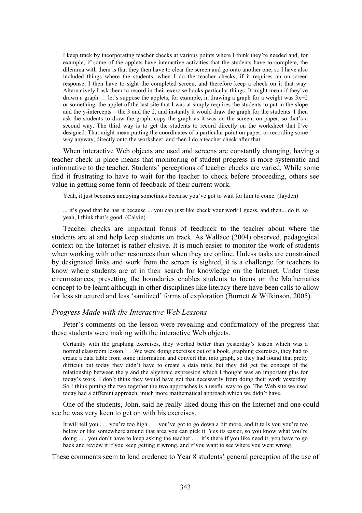I keep track by incorporating teacher checks at various points where I think they're needed and, for example, if some of the applets have interactive activities that the students have to complete, the dilemma with them is that they then have to clear the screen and go onto another one, so I have also included things where the students, when I do the teacher checks, if it requires an on-screen response, I then have to sight the completed screen, and therefore keep a check on it that way. Alternatively I ask them to record in their exercise books particular things. It might mean if they've drawn a graph ... let's suppose the applets, for example, in drawing a graph for a weight was  $3x+2$ or something, the applet of the last site that I was at simply requires the students to put in the slope and the y-intercepts – the 3 and the 2, and instantly it would draw the graph for the students. I then ask the students to draw the graph, copy the graph as it was on the screen, on paper, so that's a second way. The third way is to get the students to record directly on the worksheet that I've designed. That might mean putting the coordinates of a particular point on paper, or recording some way anyway, directly onto the worksheet, and then I do a teacher check after that.

When interactive Web objects are used and screens are constantly changing, having a teacher check in place means that monitoring of student progress is more systematic and informative to the teacher. Students' perceptions of teacher checks are varied. While some find it frustrating to have to wait for the teacher to check before proceeding, others see value in getting some form of feedback of their current work.

Yeah, it just becomes annoying sometimes because you've got to wait for him to come. (Jayden)

... it's good that he has it because ... you can just like check your work I guess, and then... do it, so yeah, I think that's good. (Calvin)

Teacher checks are important forms of feedback to the teacher about where the students are at and help keep students on track. As Wallace (2004) observed, pedagogical context on the Internet is rather elusive. It is much easier to monitor the work of students when working with other resources than when they are online. Unless tasks are constrained by designated links and work from the screen is sighted, it is a challenge for teachers to know where students are at in their search for knowledge on the Internet. Under these circumstances, presetting the boundaries enables students to focus on the Mathematics concept to be learnt although in other disciplines like literacy there have been calls to allow for less structured and less 'sanitized' forms of exploration (Burnett & Wilkinson, 2005).

#### *Progress Made with the Interactive Web Lessons*

Peter's comments on the lesson were revealing and confirmatory of the progress that these students were making with the interactive Web objects.

Certainly with the graphing exercises, they worked better than yesterday's lesson which was a normal classroom lesson. . . .We were doing exercises out of a book, graphing exercises, they had to create a data table from some information and convert that into graph, so they had found that pretty difficult but today they didn't have to create a data table but they did get the concept of the relationship between the y and the algebraic expression which I thought was an important plus for today's work. I don't think they would have got that necessarily from doing their work yesterday. So I think putting the two together the two approaches is a useful way to go. The Web site we used today had a different approach, much more mathematical approach which we didn't have.

One of the students, John, said he really liked doing this on the Internet and one could see he was very keen to get on with his exercises.

It will tell you . . . you're too high . . . you've got to go down a bit more, and it tells you you're too below or like somewhere around that area you can pick it. Yes its easier, so you know what you're doing . . . you don't have to keep asking the teacher . . . it's there if you like need it, you have to go back and review it if you keep getting it wrong, and if you want to see where you went wrong.

These comments seem to lend credence to Year 8 students' general perception of the use of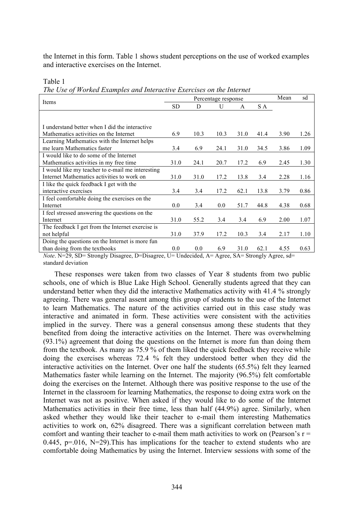the Internet in this form. Table 1 shows student perceptions on the use of worked examples and interactive exercises on the Internet.

Table 1

*The Use of Worked Examples and Interactive Exercises on the Internet*

| Percentage response |         |         |      |      | Mean | sd   |
|---------------------|---------|---------|------|------|------|------|
| <b>SD</b>           | D       | U       | A    | S A  |      |      |
|                     |         |         |      |      |      |      |
|                     |         |         |      |      |      |      |
|                     |         |         |      |      |      | 1.26 |
|                     |         |         |      |      |      |      |
| 3.4                 | 6.9     | 24.1    | 31.0 | 34.5 | 3.86 | 1.09 |
|                     |         |         |      |      |      |      |
| 31.0                | 24.1    | 20.7    | 17.2 | 6.9  | 2.45 | 1.30 |
|                     |         |         |      |      |      |      |
| 31.0                | 31.0    | 17.2    | 13.8 | 3.4  | 2.28 | 1.16 |
|                     |         |         |      |      |      |      |
| 3.4                 | 3.4     | 17.2    | 62.1 | 13.8 | 3.79 | 0.86 |
|                     |         |         |      |      |      |      |
| 0.0 <sub>1</sub>    | 3.4     | $0.0\,$ | 51.7 | 44.8 | 4.38 | 0.68 |
|                     |         |         |      |      |      |      |
| 31.0                | 55.2    | 3.4     | 3.4  | 6.9  | 2.00 | 1.07 |
|                     |         |         |      |      |      |      |
| 31.0                | 37.9    | 17.2    | 10.3 | 3.4  | 2.17 | 1.10 |
|                     |         |         |      |      |      |      |
| $0.0\,$             | $0.0\,$ | 6.9     | 31.0 | 62.1 | 4.55 | 0.63 |
|                     | 6.9     | 10.3    | 10.3 | 31.0 | 41.4 | 3.90 |

*Note*. N=29, SD= Strongly Disagree, D=Disagree, U= Undecided, A= Agree, SA= Strongly Agree, sd= standard deviation

These responses were taken from two classes of Year 8 students from two public schools, one of which is Blue Lake High School. Generally students agreed that they can understand better when they did the interactive Mathematics activity with 41.4 % strongly agreeing. There was general assent among this group of students to the use of the Internet to learn Mathematics. The nature of the activities carried out in this case study was interactive and animated in form. These activities were consistent with the activities implied in the survey. There was a general consensus among these students that they benefited from doing the interactive activities on the Internet. There was overwhelming (93.1%) agreement that doing the questions on the Internet is more fun than doing them from the textbook. As many as 75.9 % of them liked the quick feedback they receive while doing the exercises whereas 72.4 % felt they understood better when they did the interactive activities on the Internet. Over one half the students (65.5%) felt they learned Mathematics faster while learning on the Internet. The majority (96.5%) felt comfortable doing the exercises on the Internet. Although there was positive response to the use of the Internet in the classroom for learning Mathematics, the response to doing extra work on the Internet was not as positive. When asked if they would like to do some of the Internet Mathematics activities in their free time, less than half (44.9%) agree. Similarly, when asked whether they would like their teacher to e-mail them interesting Mathematics activities to work on, 62% disagreed. There was a significant correlation between math comfort and wanting their teacher to e-mail them math activities to work on (Pearson's  $r =$ 0.445,  $p=0.016$ , N=29). This has implications for the teacher to extend students who are comfortable doing Mathematics by using the Internet. Interview sessions with some of the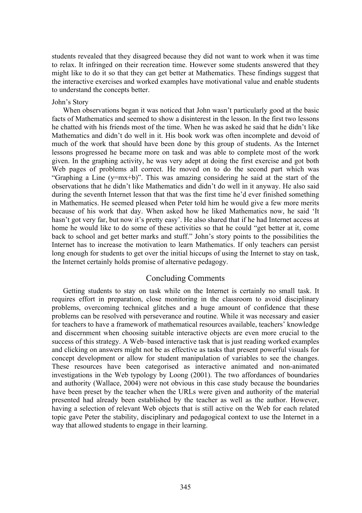students revealed that they disagreed because they did not want to work when it was time to relax. It infringed on their recreation time. However some students answered that they might like to do it so that they can get better at Mathematics. These findings suggest that the interactive exercises and worked examples have motivational value and enable students to understand the concepts better.

#### John's Story

When observations began it was noticed that John wasn't particularly good at the basic facts of Mathematics and seemed to show a disinterest in the lesson. In the first two lessons he chatted with his friends most of the time. When he was asked he said that he didn't like Mathematics and didn't do well in it. His book work was often incomplete and devoid of much of the work that should have been done by this group of students. As the Internet lessons progressed he became more on task and was able to complete most of the work given. In the graphing activity, he was very adept at doing the first exercise and got both Web pages of problems all correct. He moved on to do the second part which was "Graphing a Line (y=mx+b)". This was amazing considering he said at the start of the observations that he didn't like Mathematics and didn't do well in it anyway. He also said during the seventh Internet lesson that that was the first time he'd ever finished something in Mathematics. He seemed pleased when Peter told him he would give a few more merits because of his work that day. When asked how he liked Mathematics now, he said 'It hasn't got very far, but now it's pretty easy'. He also shared that if he had Internet access at home he would like to do some of these activities so that he could "get better at it, come back to school and get better marks and stuff." John's story points to the possibilities the Internet has to increase the motivation to learn Mathematics. If only teachers can persist long enough for students to get over the initial hiccups of using the Internet to stay on task, the Internet certainly holds promise of alternative pedagogy.

# Concluding Comments

Getting students to stay on task while on the Internet is certainly no small task. It requires effort in preparation, close monitoring in the classroom to avoid disciplinary problems, overcoming technical glitches and a huge amount of confidence that these problems can be resolved with perseverance and routine. While it was necessary and easier for teachers to have a framework of mathematical resources available, teachers' knowledge and discernment when choosing suitable interactive objects are even more crucial to the success of this strategy. A Web–based interactive task that is just reading worked examples and clicking on answers might not be as effective as tasks that present powerful visuals for concept development or allow for student manipulation of variables to see the changes. These resources have been categorised as interactive animated and non-animated investigations in the Web typology by Loong (2001). The two affordances of boundaries and authority (Wallace, 2004) were not obvious in this case study because the boundaries have been preset by the teacher when the URLs were given and authority of the material presented had already been established by the teacher as well as the author. However, having a selection of relevant Web objects that is still active on the Web for each related topic gave Peter the stability, disciplinary and pedagogical context to use the Internet in a way that allowed students to engage in their learning.